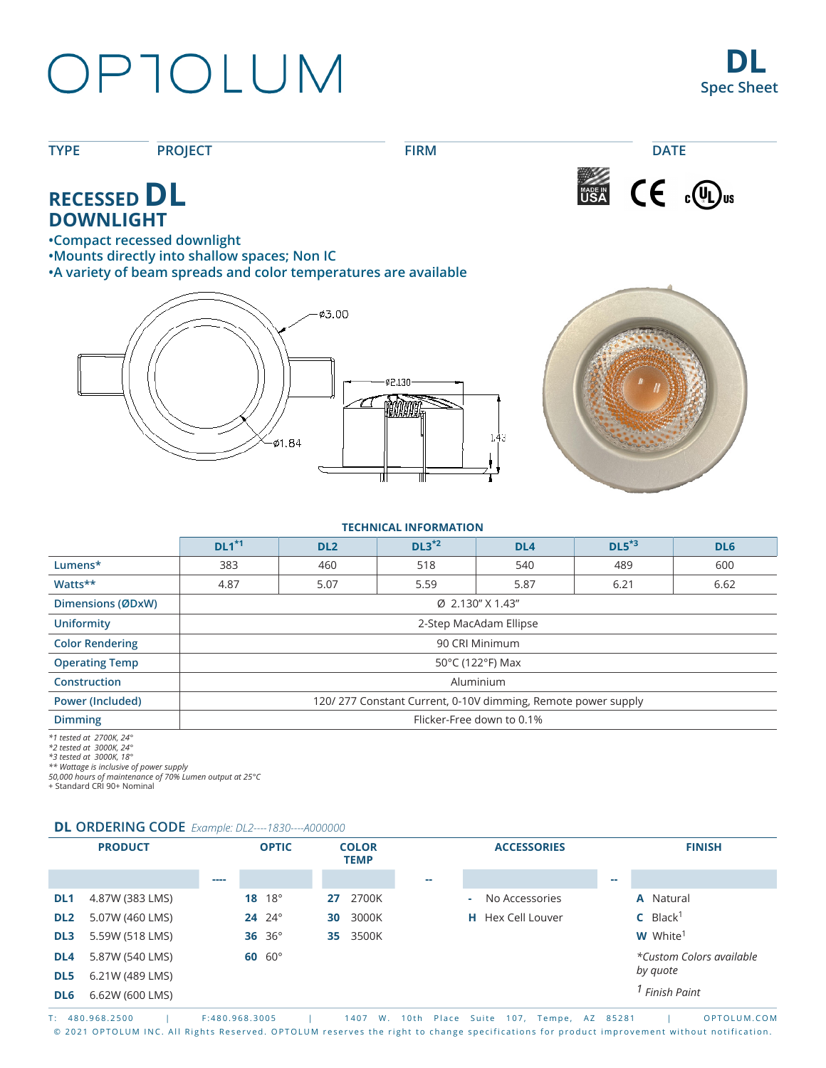## OPTOLUM

**TYPE PROJECT FIRM DATE** USA CE COD<sub>us</sub> **RECESSED DL DOWNLIGHT •Compact recessed downlight •Mounts directly into shallow spaces; Non IC •A variety of beam spreads and color temperatures are available ¢3.00** 02.130  $1.43$  $-01.84$ 

#### **TECHNICAL INFORMATION**

|                                           | $DL1*1$                                                      | DL <sub>2</sub> | $DL3^{*2}$ | DL <sub>4</sub> | $DL5*3$ | DL <sub>6</sub> |  |  |  |
|-------------------------------------------|--------------------------------------------------------------|-----------------|------------|-----------------|---------|-----------------|--|--|--|
| Lumens*                                   | 383                                                          | 460             | 518        | 540             | 489     | 600             |  |  |  |
| Watts**                                   | 4.87                                                         | 5.07            | 5.59       | 5.87            | 6.21    | 6.62            |  |  |  |
| Dimensions (ØDxW)                         | Ø 2.130" X 1.43"                                             |                 |            |                 |         |                 |  |  |  |
| <b>Uniformity</b>                         | 2-Step MacAdam Ellipse                                       |                 |            |                 |         |                 |  |  |  |
| <b>Color Rendering</b>                    | 90 CRI Minimum                                               |                 |            |                 |         |                 |  |  |  |
| <b>Operating Temp</b>                     | 50°C (122°F) Max                                             |                 |            |                 |         |                 |  |  |  |
| <b>Construction</b>                       | Aluminium                                                    |                 |            |                 |         |                 |  |  |  |
| <b>Power (Included)</b>                   | 120/277 Constant Current, 0-10V dimming, Remote power supply |                 |            |                 |         |                 |  |  |  |
| <b>Dimming</b>                            | Flicker-Free down to 0.1%                                    |                 |            |                 |         |                 |  |  |  |
| $d \cdot d \cdot \cdot l \cdot l \cdot n$ |                                                              |                 |            |                 |         |                 |  |  |  |

*\*1 tested at 2700K, 24° \*2 tested at 3000K, 24°*

*\*3 tested at 3000K, 18° \*\* Wattage is inclusive of power supply 50,000 hours of maintenance of 70% Lumen output at 25°C*

+ Standard CRI 90+ Nominal

#### **DL ORDERING CODE** *Example: DL2----1830----A000000*

|                 | <b>PRODUCT</b>  |      | <b>OPTIC</b>       |    | <b>COLOR</b><br><b>TEMP</b> |    | <b>ACCESSORIES</b>       |    | <b>FINISH</b>               |
|-----------------|-----------------|------|--------------------|----|-----------------------------|----|--------------------------|----|-----------------------------|
|                 |                 | ---- |                    |    |                             | -- |                          | -- |                             |
| DL <sub>1</sub> | 4.87W (383 LMS) |      | $18^{\circ}$<br>18 | 27 | 2700K                       |    | No Accessories<br>÷.     |    | <b>A</b> Natural            |
| DL <sub>2</sub> | 5.07W (460 LMS) |      | $24^{o}$           | 30 | 3000K                       |    | <b>H</b> Hex Cell Louver |    | $C$ Black <sup>1</sup>      |
| DL <sub>3</sub> | 5.59W (518 LMS) |      | 36 $36^\circ$      | 35 | 3500K                       |    |                          |    | <b>W</b> White <sup>1</sup> |
| DL <sub>4</sub> | 5.87W (540 LMS) |      | $60~60^\circ$      |    |                             |    |                          |    | *Custom Colors available    |
| DL <sub>5</sub> | 6.21W (489 LMS) |      |                    |    |                             |    |                          |    | by quote                    |
| DL6             | 6.62W (600 LMS) |      |                    |    |                             |    |                          |    | Finish Paint                |

T: 480.968.2500 | F:480.968.3005 | 1407 W. 10th Place Suite 107, Tempe, AZ 85281 | OPTOLUM.COM © 2021 OPTOLUM INC. All Rights Reserved. OPTOLUM reserves the right to change specifications for product improvement without notification.